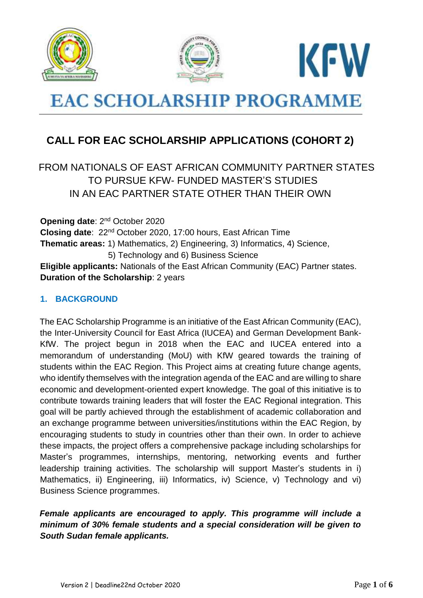





# **EAC SCHOLARSHIP PROGRAMME**

## **CALL FOR EAC SCHOLARSHIP APPLICATIONS (COHORT 2)**

### FROM NATIONALS OF EAST AFRICAN COMMUNITY PARTNER STATES TO PURSUE KFW- FUNDED MASTER'S STUDIES IN AN EAC PARTNER STATE OTHER THAN THEIR OWN

**Opening date: 2<sup>nd</sup> October 2020 Closing date**: 22nd October 2020, 17:00 hours, East African Time **Thematic areas:** 1) Mathematics, 2) Engineering, 3) Informatics, 4) Science, 5) Technology and 6) Business Science **Eligible applicants:** Nationals of the East African Community (EAC) Partner states. **Duration of the Scholarship**: 2 years

#### **1. BACKGROUND**

The EAC Scholarship Programme is an initiative of the East African Community (EAC), the Inter-University Council for East Africa (IUCEA) and German Development Bank-KfW. The project begun in 2018 when the EAC and IUCEA entered into a memorandum of understanding (MoU) with KfW geared towards the training of students within the EAC Region. This Project aims at creating future change agents, who identify themselves with the integration agenda of the EAC and are willing to share economic and development-oriented expert knowledge. The goal of this initiative is to contribute towards training leaders that will foster the EAC Regional integration. This goal will be partly achieved through the establishment of academic collaboration and an exchange programme between universities/institutions within the EAC Region, by encouraging students to study in countries other than their own. In order to achieve these impacts, the project offers a comprehensive package including scholarships for Master's programmes, internships, mentoring, networking events and further leadership training activities. The scholarship will support Master's students in i) Mathematics, ii) Engineering, iii) Informatics, iv) Science, v) Technology and vi) Business Science programmes.

#### *Female applicants are encouraged to apply. This programme will include a minimum of 30% female students and a special consideration will be given to South Sudan female applicants.*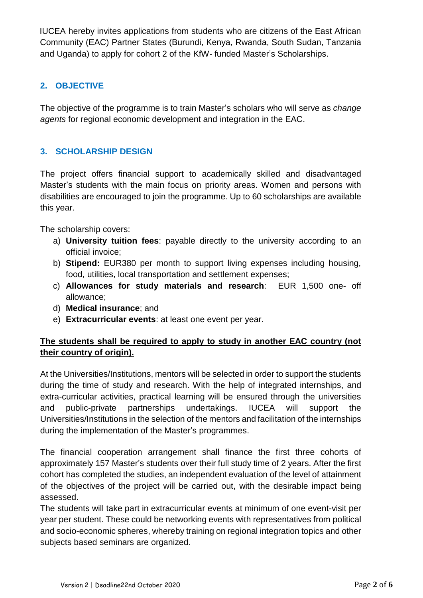IUCEA hereby invites applications from students who are citizens of the East African Community (EAC) Partner States (Burundi, Kenya, Rwanda, South Sudan, Tanzania and Uganda) to apply for cohort 2 of the KfW- funded Master's Scholarships.

#### **2. OBJECTIVE**

The objective of the programme is to train Master's scholars who will serve as *change agents* for regional economic development and integration in the EAC.

#### **3. SCHOLARSHIP DESIGN**

The project offers financial support to academically skilled and disadvantaged Master's students with the main focus on priority areas. Women and persons with disabilities are encouraged to join the programme. Up to 60 scholarships are available this year.

The scholarship covers:

- a) **University tuition fees**: payable directly to the university according to an official invoice;
- b) **Stipend:** EUR380 per month to support living expenses including housing, food, utilities, local transportation and settlement expenses;
- c) **Allowances for study materials and research**: EUR 1,500 one- off allowance;
- d) **Medical insurance**; and
- e) **Extracurricular events**: at least one event per year.

#### **The students shall be required to apply to study in another EAC country (not their country of origin).**

At the Universities/Institutions, mentors will be selected in order to support the students during the time of study and research. With the help of integrated internships, and extra-curricular activities, practical learning will be ensured through the universities and public-private partnerships undertakings. IUCEA will support the Universities/Institutions in the selection of the mentors and facilitation of the internships during the implementation of the Master's programmes.

The financial cooperation arrangement shall finance the first three cohorts of approximately 157 Master's students over their full study time of 2 years. After the first cohort has completed the studies, an independent evaluation of the level of attainment of the objectives of the project will be carried out, with the desirable impact being assessed.

The students will take part in extracurricular events at minimum of one event-visit per year per student. These could be networking events with representatives from political and socio-economic spheres, whereby training on regional integration topics and other subjects based seminars are organized.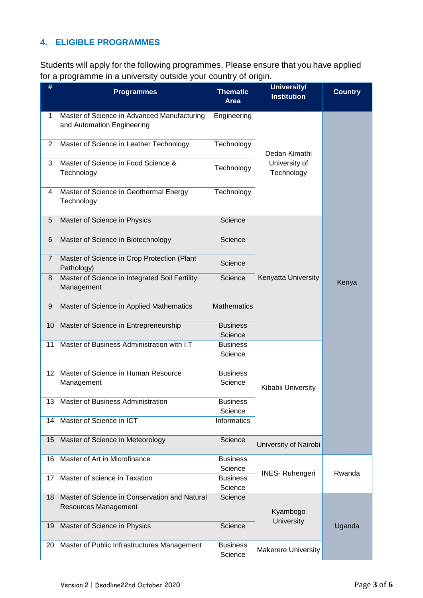#### **4. ELIGIBLE PROGRAMMES**

Students will apply for the following programmes. Please ensure that you have applied for a programme in a university outside your country of origin.

| #              | <b>Programmes</b>                                                         | <b>Thematic</b><br>Area    | <b>University/</b><br><b>Institution</b>     | <b>Country</b> |
|----------------|---------------------------------------------------------------------------|----------------------------|----------------------------------------------|----------------|
| 1              | Master of Science in Advanced Manufacturing<br>and Automation Engineering | Engineering                | Dedan Kimathi<br>University of<br>Technology | Kenya          |
| $\overline{2}$ | Master of Science in Leather Technology                                   | Technology                 |                                              |                |
| 3              | Master of Science in Food Science &<br>Technology                         | Technology                 |                                              |                |
| 4              | Master of Science in Geothermal Energy<br>Technology                      | Technology                 |                                              |                |
| 5              | Master of Science in Physics                                              | Science                    | Kenyatta University                          |                |
| 6              | Master of Science in Biotechnology                                        | Science                    |                                              |                |
| $\overline{7}$ | Master of Science in Crop Protection (Plant<br>Pathology)                 | Science                    |                                              |                |
| 8              | Master of Science in Integrated Soil Fertility<br>Management              | Science                    |                                              |                |
| 9              | Master of Science in Applied Mathematics                                  | <b>Mathematics</b>         |                                              |                |
| 10             | Master of Science in Entrepreneurship                                     | <b>Business</b><br>Science |                                              |                |
| 11             | Master of Business Administration with I.T                                | <b>Business</b><br>Science | Kibabii University                           |                |
| 12             | Master of Science in Human Resource<br>Management                         | <b>Business</b><br>Science |                                              |                |
| 13             | Master of Business Administration                                         | <b>Business</b><br>Science |                                              |                |
| 14             | Master of Science in ICT                                                  | Informatics                |                                              |                |
| 15             | Master of Science in Meteorology                                          | Science                    | University of Nairobi                        |                |
| 16             | Master of Art in Microfinance                                             | <b>Business</b><br>Science | <b>INES-Ruhengeri</b>                        | Rwanda         |
| 17             | Master of science in Taxation                                             | <b>Business</b><br>Science |                                              |                |
| 18             | Master of Science in Conservation and Natural<br>Resources Management     | Science                    | Kyambogo<br>University                       | Uganda         |
| 19             | Master of Science in Physics                                              | Science                    |                                              |                |
| 20             | Master of Public Infrastructures Management                               | <b>Business</b><br>Science | <b>Makerere University</b>                   |                |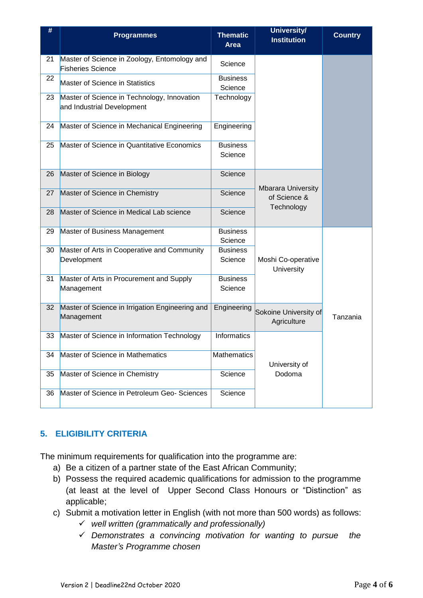| #  | <b>Programmes</b>                                                         | <b>Thematic</b><br><b>Area</b> | University/<br><b>Institution</b>                       | <b>Country</b> |
|----|---------------------------------------------------------------------------|--------------------------------|---------------------------------------------------------|----------------|
| 21 | Master of Science in Zoology, Entomology and<br><b>Fisheries Science</b>  | Science                        |                                                         |                |
| 22 | Master of Science in Statistics                                           | <b>Business</b><br>Science     |                                                         |                |
| 23 | Master of Science in Technology, Innovation<br>and Industrial Development | Technology                     |                                                         |                |
| 24 | Master of Science in Mechanical Engineering                               | Engineering                    |                                                         |                |
| 25 | Master of Science in Quantitative Economics                               | <b>Business</b><br>Science     |                                                         |                |
| 26 | Master of Science in Biology                                              | Science                        | <b>Mbarara University</b><br>of Science &<br>Technology |                |
| 27 | Master of Science in Chemistry                                            | Science                        |                                                         |                |
| 28 | Master of Science in Medical Lab science                                  | Science                        |                                                         |                |
| 29 | Master of Business Management                                             | <b>Business</b><br>Science     | Moshi Co-operative<br>University                        |                |
| 30 | Master of Arts in Cooperative and Community<br>Development                | <b>Business</b><br>Science     |                                                         |                |
| 31 | Master of Arts in Procurement and Supply<br>Management                    | <b>Business</b><br>Science     |                                                         |                |
| 32 | Master of Science in Irrigation Engineering and<br>Management             | Engineering                    | Sokoine University of<br>Agriculture                    | Tanzania       |
| 33 | Master of Science in Information Technology                               | <b>Informatics</b>             | University of<br>Dodoma                                 |                |
| 34 | Master of Science in Mathematics                                          | Mathematics                    |                                                         |                |
| 35 | Master of Science in Chemistry                                            | Science                        |                                                         |                |
| 36 | Master of Science in Petroleum Geo- Sciences                              | Science                        |                                                         |                |

#### **5. ELIGIBILITY CRITERIA**

The minimum requirements for qualification into the programme are:

- a) Be a citizen of a partner state of the East African Community;
- b) Possess the required academic qualifications for admission to the programme (at least at the level of Upper Second Class Honours or "Distinction" as applicable;
- c) Submit a motivation letter in English (with not more than 500 words) as follows:
	- *well written (grammatically and professionally)*
	- *Demonstrates a convincing motivation for wanting to pursue the Master's Programme chosen*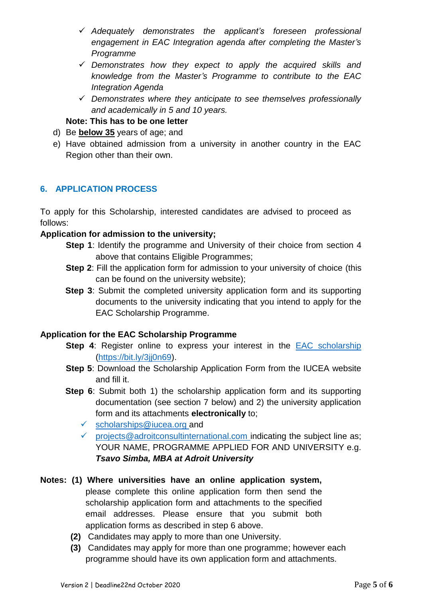- *Adequately demonstrates the applicant's foreseen professional engagement in EAC Integration agenda after completing the Master's Programme*
- *Demonstrates how they expect to apply the acquired skills and knowledge from the Master's Programme to contribute to the EAC Integration Agenda*
- *Demonstrates where they anticipate to see themselves professionally and academically in 5 and 10 years.*

#### **Note: This has to be one letter**

- d) Be **below 35** years of age; and
- e) Have obtained admission from a university in another country in the EAC Region other than their own.

#### **6. APPLICATION PROCESS**

To apply for this Scholarship, interested candidates are advised to proceed as follows:

#### **Application for admission to the university;**

- **Step 1**: Identify the programme and University of their choice from section 4 above that contains Eligible Programmes;
- **Step 2:** Fill the application form for admission to your university of choice (this can be found on the university website);
- **Step 3**: Submit the completed university application form and its supporting documents to the university indicating that you intend to apply for the EAC Scholarship Programme.

#### **Application for the EAC Scholarship Programme**

- **Step 4:** Register online to express your interest in the [EAC scholarship](https://bit.ly/3jj0n69) [\(https://bit.ly/3jj0n69\)](https://bit.ly/3jj0n69).
- **Step 5**: Download the Scholarship Application Form from the IUCEA website and fill it.
- **Step 6**: Submit both 1) the scholarship application form and its supporting documentation (see section 7 below) and 2) the university application form and its attachments **electronically** to;
	- $\checkmark$  [scholarships@iucea.org](mailto:scholarships@iucea.org) and
	- $\checkmark$  [projects@adroitconsultinternational.com](mailto:projects@adroitconsultinternational.com) indicating the subject line as; YOUR NAME, PROGRAMME APPLIED FOR AND UNIVERSITY e.g. *Tsavo Simba, MBA at Adroit University*

#### **Notes: (1) Where universities have an online application system,**  please complete this online application form then send the scholarship application form and attachments to the specified email addresses. Please ensure that you submit both application forms as described in step 6 above.

- **(2)** Candidates may apply to more than one University.
- **(3)** Candidates may apply for more than one programme; however each programme should have its own application form and attachments.